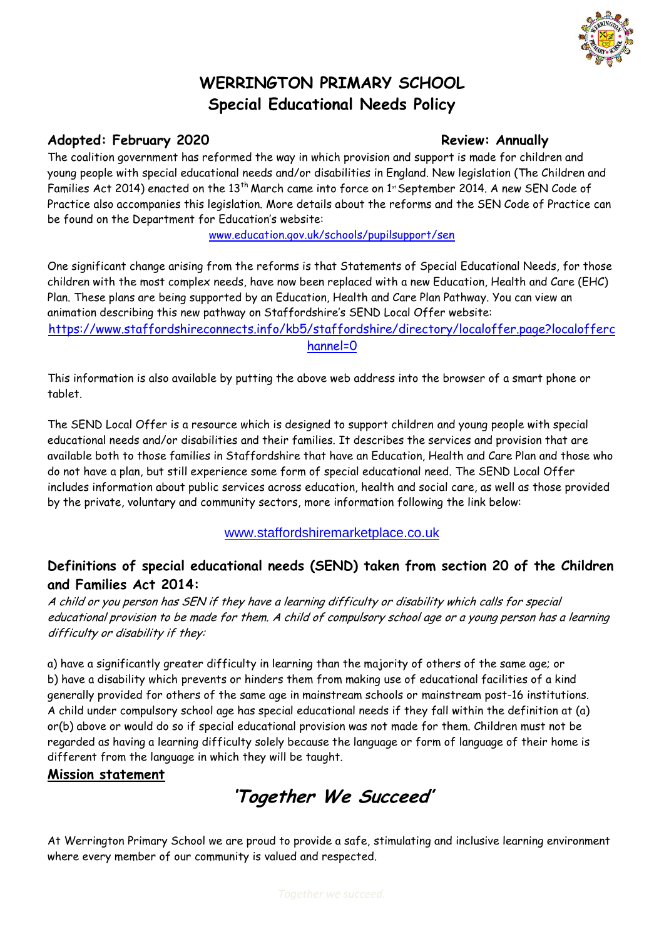

# **WERRINGTON PRIMARY SCHOOL Special Educational Needs Policy**

## Adopted: February 2020 **Review: Annually**

The coalition government has reformed the way in which provision and support is made for children and young people with special educational needs and/or disabilities in England. New legislation (The Children and Families Act 2014) enacted on the 13<sup>th</sup> March came into force on 1<sup>st</sup> September 2014. A new SEN Code of Practice also accompanies this legislation. More details about the reforms and the SEN Code of Practice can be found on the Department for Education's website:

[www.education.gov.uk/schools/pupilsupport/sen](http://www.education.gov.uk/schools/pupilsupport/sen)

One significant change arising from the reforms is that Statements of Special Educational Needs, for those children with the most complex needs, have now been replaced with a new Education, Health and Care (EHC) Plan. These plans are being supported by an Education, Health and Care Plan Pathway. You can view an animation describing this new pathway on Staffordshire's SEND Local Offer website: [https://www.staffordshireconnects.info/kb5/staffordshire/directory/localoffer.page?localofferc](https://www.staffordshireconnects.info/kb5/staffordshire/directory/localoffer.page?localofferchannel=0)

[hannel=0](https://www.staffordshireconnects.info/kb5/staffordshire/directory/localoffer.page?localofferchannel=0)

This information is also available by putting the above web address into the browser of a smart phone or tablet.

The SEND Local Offer is a resource which is designed to support children and young people with special educational needs and/or disabilities and their families. It describes the services and provision that are available both to those families in Staffordshire that have an Education, Health and Care Plan and those who do not have a plan, but still experience some form of special educational need. The SEND Local Offer includes information about public services across education, health and social care, as well as those provided by the private, voluntary and community sectors, more information following the link below:

[www.staffordshiremarketplace.co.uk](http://www.staffordshiremarketplace.co.uk/)

## **Definitions of special educational needs (SEND) taken from section 20 of the Children and Families Act 2014:**

A child or you person has SEN if they have a learning difficulty or disability which calls for special educational provision to be made for them. A child of compulsory school age or a young person has a learning difficulty or disability if they:

a) have a significantly greater difficulty in learning than the majority of others of the same age; or b) have a disability which prevents or hinders them from making use of educational facilities of a kind generally provided for others of the same age in mainstream schools or mainstream post-16 institutions. A child under compulsory school age has special educational needs if they fall within the definition at (a) or(b) above or would do so if special educational provision was not made for them. Children must not be regarded as having a learning difficulty solely because the language or form of language of their home is different from the language in which they will be taught.

#### **Mission statement**

**'Together We Succeed'**

At Werrington Primary School we are proud to provide a safe, stimulating and inclusive learning environment where every member of our community is valued and respected.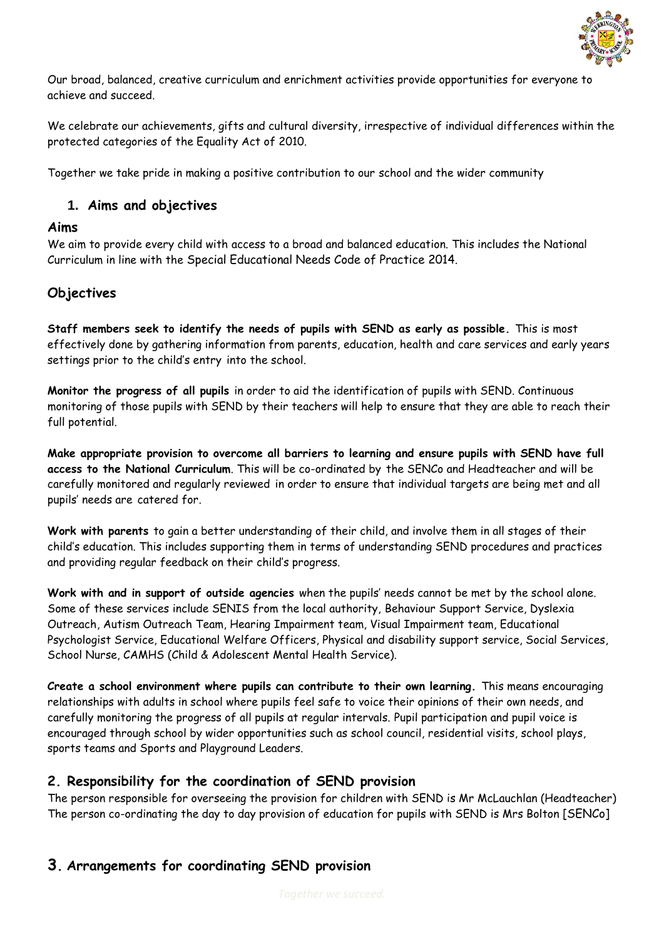

Our broad, balanced, creative curriculum and enrichment activities provide opportunities for everyone to achieve and succeed.

We celebrate our achievements, gifts and cultural diversity, irrespective of individual differences within the protected categories of the Equality Act of 2010.

Together we take pride in making a positive contribution to our school and the wider community

#### **1. Aims and objectives**

#### **Aims**

We aim to provide every child with access to a broad and balanced education. This includes the National Curriculum in line with the Special Educational Needs Code of Practice 2014.

#### **Objectives**

**Staff members seek to identify the needs of pupils with SEND as early as possible.** This is most effectively done by gathering information from parents, education, health and care services and early years settings prior to the child's entry into the school.

**Monitor the progress of all pupils** in order to aid the identification of pupils with SEND. Continuous monitoring of those pupils with SEND by their teachers will help to ensure that they are able to reach their full potential.

**Make appropriate provision to overcome all barriers to learning and ensure pupils with SEND have full access to the National Curriculum**. This will be co-ordinated by the SENCo and Headteacher and will be carefully monitored and regularly reviewed in order to ensure that individual targets are being met and all pupils' needs are catered for.

**Work with parents** to gain a better understanding of their child, and involve them in all stages of their child's education. This includes supporting them in terms of understanding SEND procedures and practices and providing regular feedback on their child's progress.

**Work with and in support of outside agencies** when the pupils' needs cannot be met by the school alone. Some of these services include SENIS from the local authority, Behaviour Support Service, Dyslexia Outreach, Autism Outreach Team, Hearing Impairment team, Visual Impairment team, Educational Psychologist Service, Educational Welfare Officers, Physical and disability support service, Social Services, School Nurse, CAMHS (Child & Adolescent Mental Health Service).

**Create a school environment where pupils can contribute to their own learning.** This means encouraging relationships with adults in school where pupils feel safe to voice their opinions of their own needs, and carefully monitoring the progress of all pupils at regular intervals. Pupil participation and pupil voice is encouraged through school by wider opportunities such as school council, residential visits, school plays, sports teams and Sports and Playground Leaders.

#### **2. Responsibility for the coordination of SEND provision**

The person responsible for overseeing the provision for children with SEND is Mr McLauchlan (Headteacher) The person co-ordinating the day to day provision of education for pupils with SEND is Mrs Bolton [SENCo]

## **3. Arrangements for coordinating SEND provision**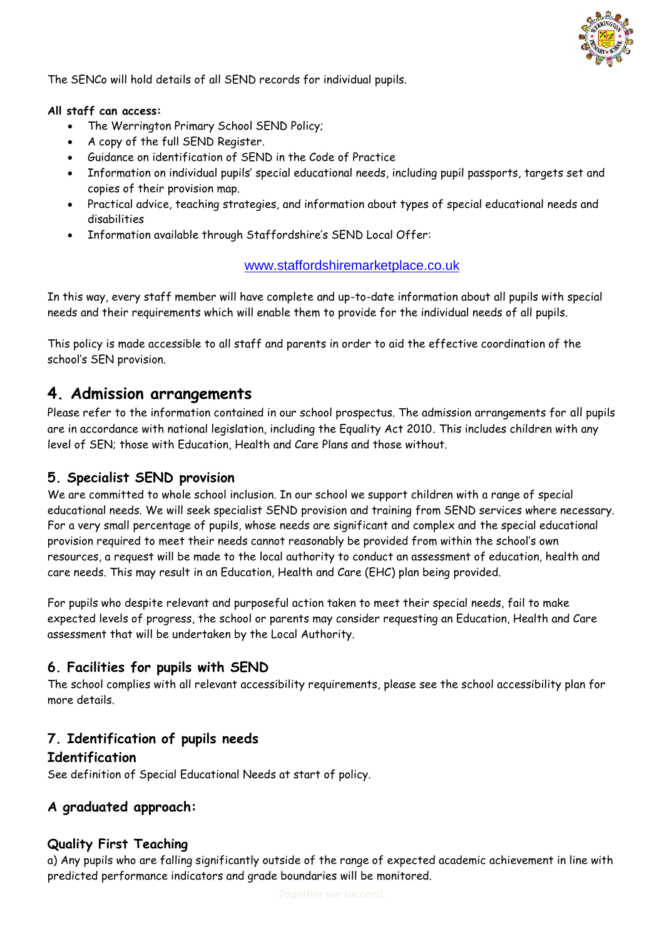

The SENCo will hold details of all SEND records for individual pupils.

#### **All staff can access:**

- The Werrington Primary School SEND Policy;
- A copy of the full SEND Register.
- Guidance on identification of SEND in the Code of Practice
- Information on individual pupils' special educational needs, including pupil passports, targets set and copies of their provision map.
- Practical advice, teaching strategies, and information about types of special educational needs and disabilities
- Information available through Staffordshire's SEND Local Offer:

#### [www.staffordshiremarketplace.co.uk](http://www.staffordshiremarketplace.co.uk/)

In this way, every staff member will have complete and up-to-date information about all pupils with special needs and their requirements which will enable them to provide for the individual needs of all pupils.

This policy is made accessible to all staff and parents in order to aid the effective coordination of the school's SEN provision.

## **4. Admission arrangements**

Please refer to the information contained in our school prospectus. The admission arrangements for all pupils are in accordance with national legislation, including the Equality Act 2010. This includes children with any level of SEN; those with Education, Health and Care Plans and those without.

#### **5. Specialist SEND provision**

We are committed to whole school inclusion. In our school we support children with a range of special educational needs. We will seek specialist SEND provision and training from SEND services where necessary. For a very small percentage of pupils, whose needs are significant and complex and the special educational provision required to meet their needs cannot reasonably be provided from within the school's own resources, a request will be made to the local authority to conduct an assessment of education, health and care needs. This may result in an Education, Health and Care (EHC) plan being provided.

For pupils who despite relevant and purposeful action taken to meet their special needs, fail to make expected levels of progress, the school or parents may consider requesting an Education, Health and Care assessment that will be undertaken by the Local Authority.

### **6. Facilities for pupils with SEND**

The school complies with all relevant accessibility requirements, please see the school accessibility plan for more details.

#### **7. Identification of pupils needs Identification**

See definition of Special Educational Needs at start of policy.

### **A graduated approach:**

#### **Quality First Teaching**

a) Any pupils who are falling significantly outside of the range of expected academic achievement in line with predicted performance indicators and grade boundaries will be monitored.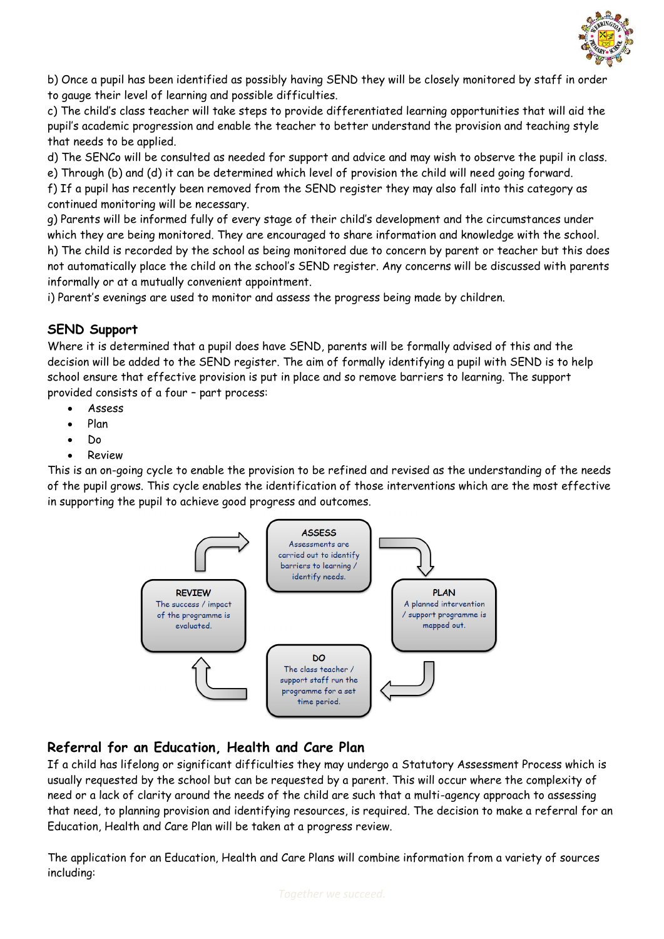

b) Once a pupil has been identified as possibly having SEND they will be closely monitored by staff in order to gauge their level of learning and possible difficulties.

c) The child's class teacher will take steps to provide differentiated learning opportunities that will aid the pupil's academic progression and enable the teacher to better understand the provision and teaching style that needs to be applied.

d) The SENCo will be consulted as needed for support and advice and may wish to observe the pupil in class. e) Through (b) and (d) it can be determined which level of provision the child will need going forward.

f) If a pupil has recently been removed from the SEND register they may also fall into this category as continued monitoring will be necessary.

g) Parents will be informed fully of every stage of their child's development and the circumstances under which they are being monitored. They are encouraged to share information and knowledge with the school. h) The child is recorded by the school as being monitored due to concern by parent or teacher but this does not automatically place the child on the school's SEND register. Any concerns will be discussed with parents informally or at a mutually convenient appointment.

i) Parent's evenings are used to monitor and assess the progress being made by children.

#### **SEND Support**

Where it is determined that a pupil does have SEND, parents will be formally advised of this and the decision will be added to the SEND register. The aim of formally identifying a pupil with SEND is to help school ensure that effective provision is put in place and so remove barriers to learning. The support provided consists of a four – part process:

- Assess
- Plan
- Do
- Review

This is an on-going cycle to enable the provision to be refined and revised as the understanding of the needs of the pupil grows. This cycle enables the identification of those interventions which are the most effective in supporting the pupil to achieve good progress and outcomes.



## **Referral for an Education, Health and Care Plan**

If a child has lifelong or significant difficulties they may undergo a Statutory Assessment Process which is usually requested by the school but can be requested by a parent. This will occur where the complexity of need or a lack of clarity around the needs of the child are such that a multi-agency approach to assessing that need, to planning provision and identifying resources, is required. The decision to make a referral for an Education, Health and Care Plan will be taken at a progress review.

The application for an Education, Health and Care Plans will combine information from a variety of sources including: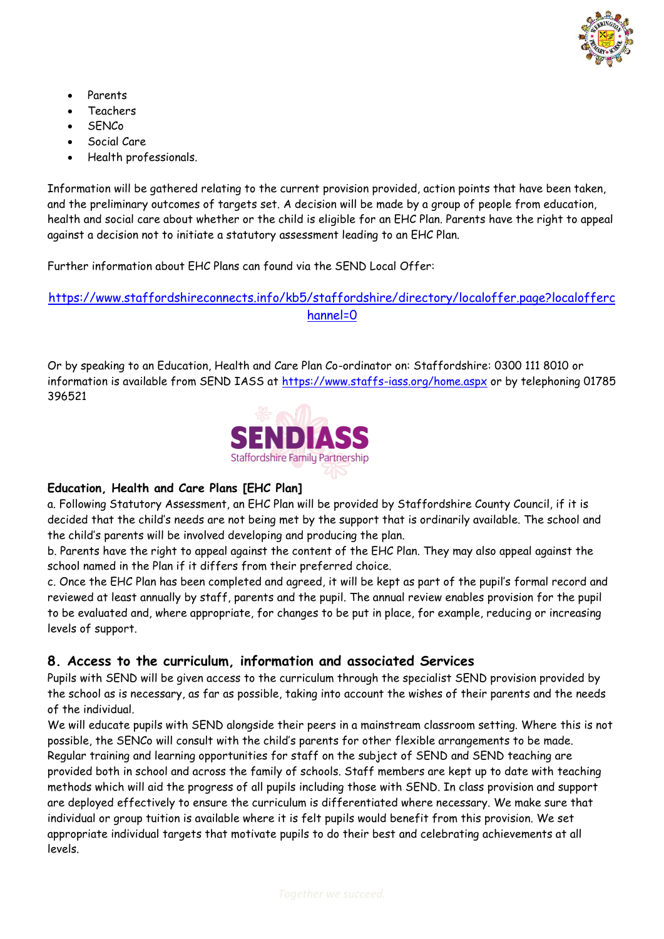

- Parents
- Teachers
- **SENCo**
- Social Care
- Health professionals.

Information will be gathered relating to the current provision provided, action points that have been taken, and the preliminary outcomes of targets set. A decision will be made by a group of people from education, health and social care about whether or the child is eligible for an EHC Plan. Parents have the right to appeal against a decision not to initiate a statutory assessment leading to an EHC Plan.

Further information about EHC Plans can found via the SEND Local Offer:

#### [https://www.staffordshireconnects.info/kb5/staffordshire/directory/localoffer.page?localofferc](https://www.staffordshireconnects.info/kb5/staffordshire/directory/localoffer.page?localofferchannel=0) [hannel=0](https://www.staffordshireconnects.info/kb5/staffordshire/directory/localoffer.page?localofferchannel=0)

Or by speaking to an Education, Health and Care Plan Co-ordinator on: Staffordshire: 0300 111 8010 or information is available from SEND IASS at<https://www.staffs-iass.org/home.aspx> or by telephoning 01785 396521



#### **Education, Health and Care Plans [EHC Plan]**

a. Following Statutory Assessment, an EHC Plan will be provided by Staffordshire County Council, if it is decided that the child's needs are not being met by the support that is ordinarily available. The school and the child's parents will be involved developing and producing the plan.

b. Parents have the right to appeal against the content of the EHC Plan. They may also appeal against the school named in the Plan if it differs from their preferred choice.

c. Once the EHC Plan has been completed and agreed, it will be kept as part of the pupil's formal record and reviewed at least annually by staff, parents and the pupil. The annual review enables provision for the pupil to be evaluated and, where appropriate, for changes to be put in place, for example, reducing or increasing levels of support.

### **8. Access to the curriculum, information and associated Services**

Pupils with SEND will be given access to the curriculum through the specialist SEND provision provided by the school as is necessary, as far as possible, taking into account the wishes of their parents and the needs of the individual.

We will educate pupils with SEND alongside their peers in a mainstream classroom setting. Where this is not possible, the SENCo will consult with the child's parents for other flexible arrangements to be made. Regular training and learning opportunities for staff on the subject of SEND and SEND teaching are provided both in school and across the family of schools. Staff members are kept up to date with teaching methods which will aid the progress of all pupils including those with SEND. In class provision and support are deployed effectively to ensure the curriculum is differentiated where necessary. We make sure that individual or group tuition is available where it is felt pupils would benefit from this provision. We set appropriate individual targets that motivate pupils to do their best and celebrating achievements at all levels.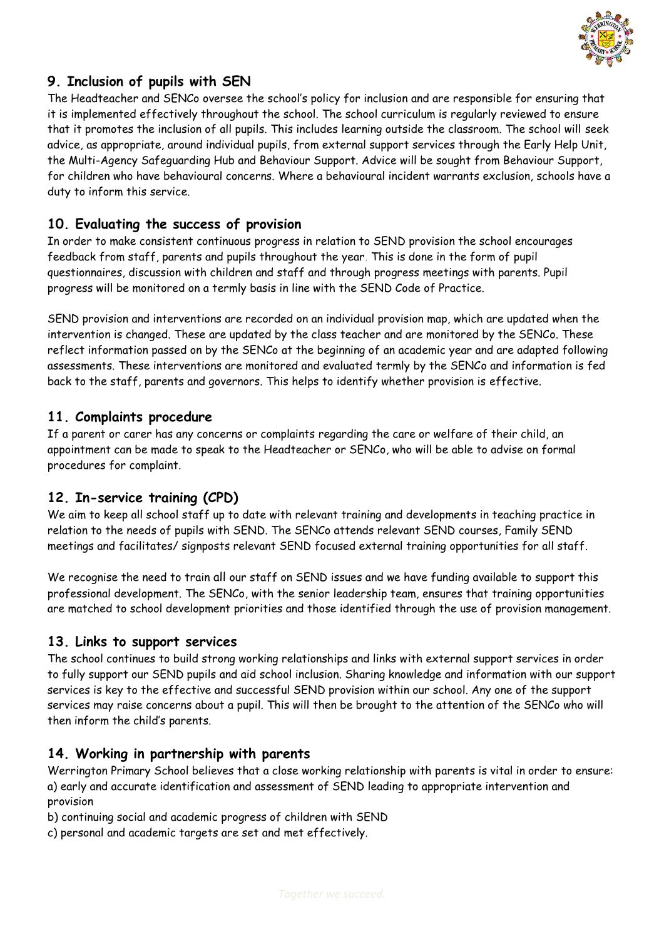

## **9. Inclusion of pupils with SEN**

The Headteacher and SENCo oversee the school's policy for inclusion and are responsible for ensuring that it is implemented effectively throughout the school. The school curriculum is regularly reviewed to ensure that it promotes the inclusion of all pupils. This includes learning outside the classroom. The school will seek advice, as appropriate, around individual pupils, from external support services through the Early Help Unit, the Multi-Agency Safeguarding Hub and Behaviour Support. Advice will be sought from Behaviour Support, for children who have behavioural concerns. Where a behavioural incident warrants exclusion, schools have a duty to inform this service.

#### **10. Evaluating the success of provision**

In order to make consistent continuous progress in relation to SEND provision the school encourages feedback from staff, parents and pupils throughout the year. This is done in the form of pupil questionnaires, discussion with children and staff and through progress meetings with parents. Pupil progress will be monitored on a termly basis in line with the SEND Code of Practice.

SEND provision and interventions are recorded on an individual provision map, which are updated when the intervention is changed. These are updated by the class teacher and are monitored by the SENCo. These reflect information passed on by the SENCo at the beginning of an academic year and are adapted following assessments. These interventions are monitored and evaluated termly by the SENCo and information is fed back to the staff, parents and governors. This helps to identify whether provision is effective.

#### **11. Complaints procedure**

If a parent or carer has any concerns or complaints regarding the care or welfare of their child, an appointment can be made to speak to the Headteacher or SENCo, who will be able to advise on formal procedures for complaint.

#### **12. In-service training (CPD)**

We aim to keep all school staff up to date with relevant training and developments in teaching practice in relation to the needs of pupils with SEND. The SENCo attends relevant SEND courses, Family SEND meetings and facilitates/ signposts relevant SEND focused external training opportunities for all staff.

We recognise the need to train all our staff on SEND issues and we have funding available to support this professional development. The SENCo, with the senior leadership team, ensures that training opportunities are matched to school development priorities and those identified through the use of provision management.

#### **13. Links to support services**

The school continues to build strong working relationships and links with external support services in order to fully support our SEND pupils and aid school inclusion. Sharing knowledge and information with our support services is key to the effective and successful SEND provision within our school. Any one of the support services may raise concerns about a pupil. This will then be brought to the attention of the SENCo who will then inform the child's parents.

#### **14. Working in partnership with parents**

Werrington Primary School believes that a close working relationship with parents is vital in order to ensure: a) early and accurate identification and assessment of SEND leading to appropriate intervention and provision

- b) continuing social and academic progress of children with SEND
- c) personal and academic targets are set and met effectively.